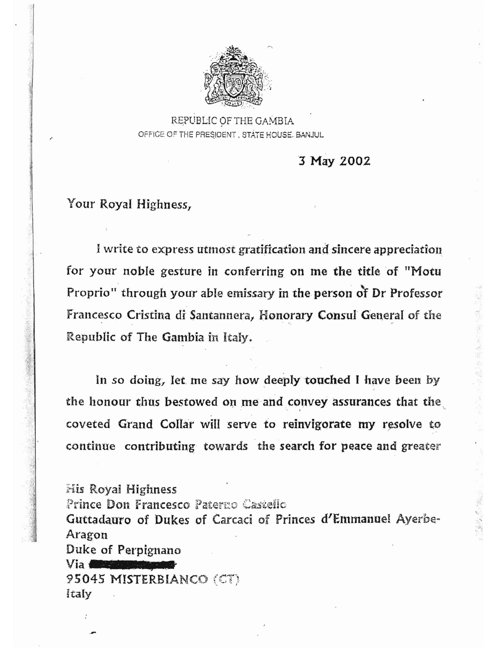

REPUBLIC OF THE GAMBIA OFFICE OF THE PRESIDENT, STATE HOUSE, BANJUL

3 May 2002

## Your Royal Highness,

I write to express utmost gratification and sincere appreciation for your noble gesture in conferring on me the title of "Motu Proprio" through your able emissary in the person of Dr Professor Francesco Cristina di Santannera, Honorary Consul General of the Republic of The Gambia in Italy.

In so doing, let me say how deeply touched I have been by the honour thus bestowed on me and convey assurances that the coveted Grand Collar will serve to reinvigorate my resolve to continue contributing towards the search for peace and greater

**His Royal Highness** Prince Don Francesco Paterno Castello Guttadauro of Dukes of Carcaci of Princes d'Emmanuel Ayerbe-Aragon Duke of Perpignano Via **Albem** 95045 MISTERBIANCO (CT) Italy